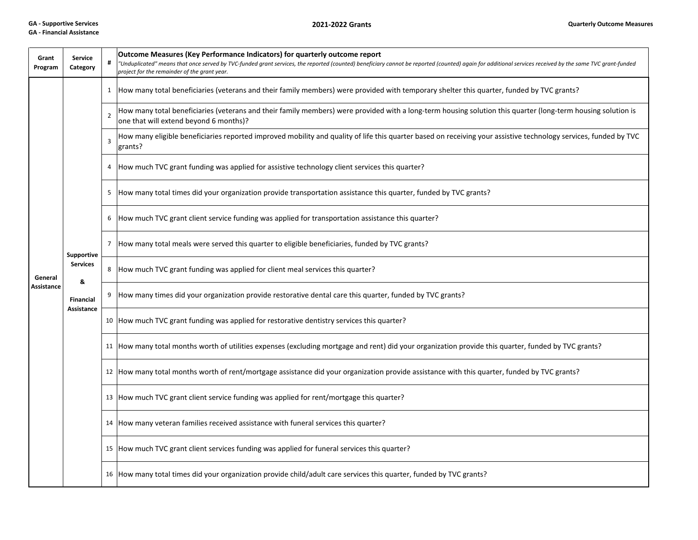## **GA ‐ Financial Assistance**

**2021‐2022**

| Grant<br>Program      | <b>Service</b><br>Category                                                  | #              | Outcome Measures (Key Performance Indicators) for quarterly outcome report<br>"Unduplicated" means that once served by TVC-funded grant services, the reported (counted) beneficiary cannot be reported (counted) again for additional services received by the same TVC grant-funded<br>project for the remainder of the grant year. |
|-----------------------|-----------------------------------------------------------------------------|----------------|---------------------------------------------------------------------------------------------------------------------------------------------------------------------------------------------------------------------------------------------------------------------------------------------------------------------------------------|
| General<br>Assistance | Supportive<br><b>Services</b><br>8<br><b>Financial</b><br><b>Assistance</b> |                | 1 How many total beneficiaries (veterans and their family members) were provided with temporary shelter this quarter, funded by TVC grants?                                                                                                                                                                                           |
|                       |                                                                             | $\mathfrak{p}$ | How many total beneficiaries (veterans and their family members) were provided with a long-term housing solution this quarter (long-term housing solution is<br>one that will extend beyond 6 months)?                                                                                                                                |
|                       |                                                                             | 3              | How many eligible beneficiaries reported improved mobility and quality of life this quarter based on receiving your assistive technology services, funded by TVC<br>grants?                                                                                                                                                           |
|                       |                                                                             |                | 4   How much TVC grant funding was applied for assistive technology client services this quarter?                                                                                                                                                                                                                                     |
|                       |                                                                             |                | 5 How many total times did your organization provide transportation assistance this quarter, funded by TVC grants?                                                                                                                                                                                                                    |
|                       |                                                                             |                | 6 How much TVC grant client service funding was applied for transportation assistance this quarter?                                                                                                                                                                                                                                   |
|                       |                                                                             |                | 7 How many total meals were served this quarter to eligible beneficiaries, funded by TVC grants?                                                                                                                                                                                                                                      |
|                       |                                                                             |                | 8  How much TVC grant funding was applied for client meal services this quarter?                                                                                                                                                                                                                                                      |
|                       |                                                                             |                | How many times did your organization provide restorative dental care this quarter, funded by TVC grants?                                                                                                                                                                                                                              |
|                       |                                                                             |                | 10 How much TVC grant funding was applied for restorative dentistry services this quarter?                                                                                                                                                                                                                                            |
|                       |                                                                             |                | 11 How many total months worth of utilities expenses (excluding mortgage and rent) did your organization provide this quarter, funded by TVC grants?                                                                                                                                                                                  |
|                       |                                                                             |                | 12 How many total months worth of rent/mortgage assistance did your organization provide assistance with this quarter, funded by TVC grants?                                                                                                                                                                                          |
|                       |                                                                             |                | 13 How much TVC grant client service funding was applied for rent/mortgage this quarter?                                                                                                                                                                                                                                              |
|                       |                                                                             |                | 14 How many veteran families received assistance with funeral services this quarter?                                                                                                                                                                                                                                                  |
|                       |                                                                             |                | 15 How much TVC grant client services funding was applied for funeral services this quarter?                                                                                                                                                                                                                                          |
|                       |                                                                             |                | 16 How many total times did your organization provide child/adult care services this quarter, funded by TVC grants?                                                                                                                                                                                                                   |